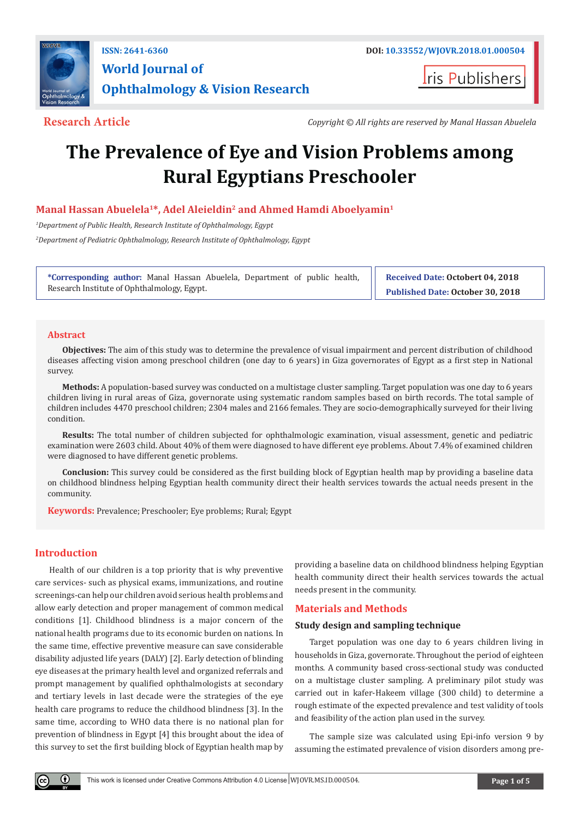

**World Journal of Ophthalmology & Vision Research**

**Iris Publishers** 

**Research Article** *Copyright © All rights are reserved by Manal Hassan Abuelela*

# **The Prevalence of Eye and Vision Problems among Rural Egyptians Preschooler**

**Manal Hassan Abuelela1\*, Adel Aleieldin2 and Ahmed Hamdi Aboelyamin1**

*1 Department of Public Health, Research Institute of Ophthalmology, Egypt*

*2 Department of Pediatric Ophthalmology, Research Institute of Ophthalmology, Egypt*

**\*Corresponding author:** Manal Hassan Abuelela, Department of public health, Research Institute of Ophthalmology, Egypt.

**Received Date: Octobert 04, 2018 Published Date: October 30, 2018**

#### **Abstract**

**Objectives:** The aim of this study was to determine the prevalence of visual impairment and percent distribution of childhood diseases affecting vision among preschool children (one day to 6 years) in Giza governorates of Egypt as a first step in National survey.

**Methods:** A population-based survey was conducted on a multistage cluster sampling. Target population was one day to 6 years children living in rural areas of Giza, governorate using systematic random samples based on birth records. The total sample of children includes 4470 preschool children; 2304 males and 2166 females. They are socio-demographically surveyed for their living condition.

**Results:** The total number of children subjected for ophthalmologic examination, visual assessment, genetic and pediatric examination were 2603 child. About 40% of them were diagnosed to have different eye problems. About 7.4% of examined children were diagnosed to have different genetic problems.

**Conclusion:** This survey could be considered as the first building block of Egyptian health map by providing a baseline data on childhood blindness helping Egyptian health community direct their health services towards the actual needs present in the community.

**Keywords:** Prevalence; Preschooler; Eye problems; Rural; Egypt

### **Introduction**

Health of our children is a top priority that is why preventive care services- such as physical exams, immunizations, and routine screenings-can help our children avoid serious health problems and allow early detection and proper management of common medical conditions [1]. Childhood blindness is a major concern of the national health programs due to its economic burden on nations. In the same time, effective preventive measure can save considerable disability adjusted life years (DALY) [2]. Early detection of blinding eye diseases at the primary health level and organized referrals and prompt management by qualified ophthalmologists at secondary and tertiary levels in last decade were the strategies of the eye health care programs to reduce the childhood blindness [3]. In the same time, according to WHO data there is no national plan for prevention of blindness in Egypt [4] this brought about the idea of this survey to set the first building block of Egyptian health map by

providing a baseline data on childhood blindness helping Egyptian health community direct their health services towards the actual needs present in the community.

#### **Materials and Methods**

#### **Study design and sampling technique**

Target population was one day to 6 years children living in households in Giza, governorate. Throughout the period of eighteen months. A community based cross-sectional study was conducted on a multistage cluster sampling. A preliminary pilot study was carried out in kafer-Hakeem village (300 child) to determine a rough estimate of the expected prevalence and test validity of tools and feasibility of the action plan used in the survey.

The sample size was calculated using Epi-info version 9 by assuming the estimated prevalence of vision disorders among pre-

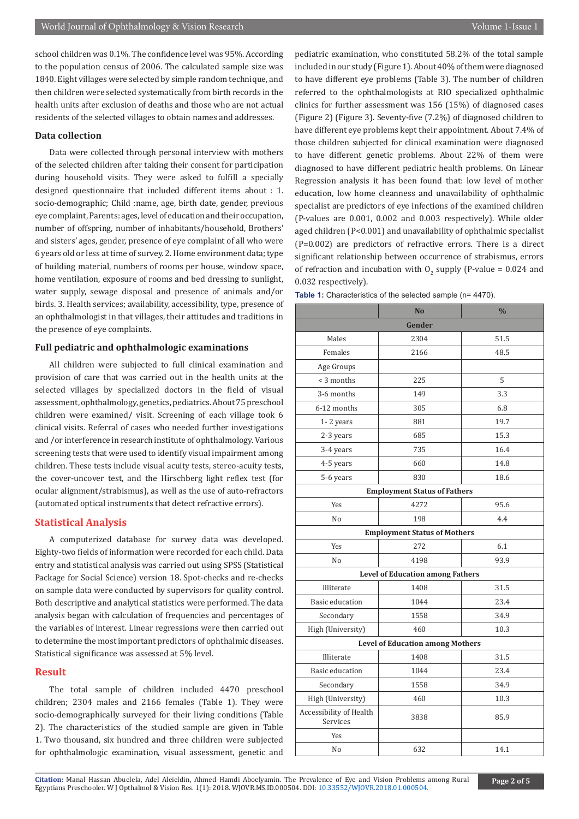school children was 0.1%. The confidence level was 95%. According to the population census of 2006. The calculated sample size was 1840. Eight villages were selected by simple random technique, and then children were selected systematically from birth records in the health units after exclusion of deaths and those who are not actual residents of the selected villages to obtain names and addresses.

#### **Data collection**

Data were collected through personal interview with mothers of the selected children after taking their consent for participation during household visits. They were asked to fulfill a specially designed questionnaire that included different items about : 1. socio-demographic; Child :name, age, birth date, gender, previous eye complaint, Parents: ages, level of education and their occupation, number of offspring, number of inhabitants/household, Brothers' and sisters' ages, gender, presence of eye complaint of all who were 6 years old or less at time of survey. 2. Home environment data; type of building material, numbers of rooms per house, window space, home ventilation, exposure of rooms and bed dressing to sunlight, water supply, sewage disposal and presence of animals and/or birds. 3. Health services; availability, accessibility, type, presence of an ophthalmologist in that villages, their attitudes and traditions in the presence of eye complaints.

#### **Full pediatric and ophthalmologic examinations**

All children were subjected to full clinical examination and provision of care that was carried out in the health units at the selected villages by specialized doctors in the field of visual assessment, ophthalmology, genetics, pediatrics. About 75 preschool children were examined/ visit. Screening of each village took 6 clinical visits. Referral of cases who needed further investigations and /or interference in research institute of ophthalmology. Various screening tests that were used to identify visual impairment among children. These tests include visual acuity tests, stereo-acuity tests, the cover-uncover test, and the Hirschberg light reflex test (for ocular alignment/strabismus), as well as the use of auto-refractors (automated optical instruments that detect refractive errors).

#### **Statistical Analysis**

A computerized database for survey data was developed. Eighty-two fields of information were recorded for each child. Data entry and statistical analysis was carried out using SPSS (Statistical Package for Social Science) version 18. Spot-checks and re-checks on sample data were conducted by supervisors for quality control. Both descriptive and analytical statistics were performed. The data analysis began with calculation of frequencies and percentages of the variables of interest. Linear regressions were then carried out to determine the most important predictors of ophthalmic diseases. Statistical significance was assessed at 5% level.

#### **Result**

The total sample of children included 4470 preschool children; 2304 males and 2166 females (Table 1). They were socio-demographically surveyed for their living conditions (Table 2). The characteristics of the studied sample are given in Table 1. Two thousand, six hundred and three children were subjected for ophthalmologic examination, visual assessment, genetic and

pediatric examination, who constituted 58.2% of the total sample included in our study (Figure 1). About 40% of them were diagnosed to have different eye problems (Table 3). The number of children referred to the ophthalmologists at RIO specialized ophthalmic clinics for further assessment was 156 (15%) of diagnosed cases (Figure 2) (Figure 3). Seventy-five (7.2%) of diagnosed children to have different eye problems kept their appointment. About 7.4% of those children subjected for clinical examination were diagnosed to have different genetic problems. About 22% of them were diagnosed to have different pediatric health problems. On Linear Regression analysis it has been found that: low level of mother education, low home cleanness and unavailability of ophthalmic specialist are predictors of eye infections of the examined children (P-values are 0.001, 0.002 and 0.003 respectively). While older aged children (P<0.001) and unavailability of ophthalmic specialist (P=0.002) are predictors of refractive errors. There is a direct significant relationship between occurrence of strabismus, errors of refraction and incubation with  $0_{2}$  supply (P-value = 0.024 and 0.032 respectively).

|                                         | N <sub>0</sub>                          | $\frac{0}{0}$ |  |  |  |
|-----------------------------------------|-----------------------------------------|---------------|--|--|--|
| Gender                                  |                                         |               |  |  |  |
| Males                                   | 2304                                    | 51.5          |  |  |  |
| Females                                 | 2166                                    | 48.5          |  |  |  |
| Age Groups                              |                                         |               |  |  |  |
| $<$ 3 months                            | 225                                     | 5             |  |  |  |
| 3-6 months                              | 149                                     | 3.3           |  |  |  |
| 6-12 months                             | 305                                     | 6.8           |  |  |  |
| 1-2 years                               | 881                                     | 19.7          |  |  |  |
| 2-3 years                               | 685                                     | 15.3          |  |  |  |
| 3-4 years                               | 735                                     | 16.4          |  |  |  |
| 4-5 years                               | 660                                     | 14.8          |  |  |  |
| 5-6 years                               | 830                                     | 18.6          |  |  |  |
|                                         | <b>Employment Status of Fathers</b>     |               |  |  |  |
| Yes                                     | 4272                                    | 95.6          |  |  |  |
| No                                      | 198                                     | 4.4           |  |  |  |
|                                         | <b>Employment Status of Mothers</b>     |               |  |  |  |
| Yes                                     | 272                                     | 6.1           |  |  |  |
| No                                      | 4198                                    | 93.9          |  |  |  |
|                                         | <b>Level of Education among Fathers</b> |               |  |  |  |
| Illiterate                              | 1408                                    | 31.5          |  |  |  |
| Basic education                         | 1044                                    | 23.4          |  |  |  |
| Secondary                               | 1558                                    | 34.9          |  |  |  |
| High (University)                       | 460                                     | 10.3          |  |  |  |
| <b>Level of Education among Mothers</b> |                                         |               |  |  |  |
| Illiterate                              | 1408                                    | 31.5          |  |  |  |
| Basic education                         | 1044                                    | 23.4          |  |  |  |
| Secondary                               | 1558                                    | 34.9          |  |  |  |
| High (University)                       | 460                                     | 10.3          |  |  |  |
| Accessibility of Health<br>Services     | 3838                                    | 85.9          |  |  |  |
| Yes                                     |                                         |               |  |  |  |
| No                                      | 632                                     | 14.1          |  |  |  |

Citation: Manal Hassan Abuelela, Adel Aleieldin, Ahmed Hamdi Aboelyamin. The Preva[lence of Eye and Vision Problems](http://dx.doi.org/10.33552/WJOVR.2018.01.000504) among Rural **Page 2 of 5** Egyptians Preschooler. W J Opthalmol & Vision Res. 1(1): 2018. WJOVR.MS.ID.000504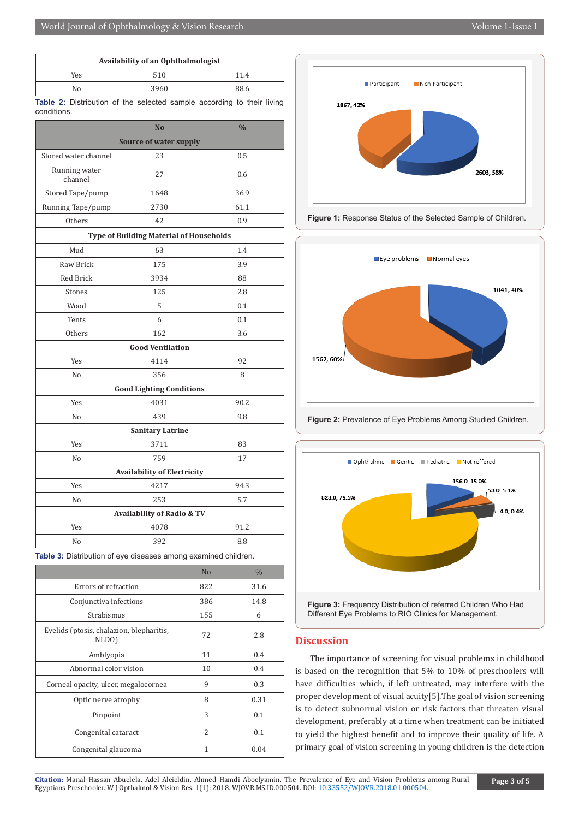| Availability of an Ophthalmologist |      |      |  |  |
|------------------------------------|------|------|--|--|
| Yes                                | 510  | 11.4 |  |  |
| No                                 | 3960 | 88.6 |  |  |

**Table 2:** Distribution of the selected sample according to their living conditions.

|                                                | N <sub>0</sub>                  | $\frac{0}{0}$ |  |  |  |
|------------------------------------------------|---------------------------------|---------------|--|--|--|
| <b>Source of water supply</b>                  |                                 |               |  |  |  |
| Stored water channel                           | 23                              | 0.5           |  |  |  |
| Running water<br>channel                       | 27                              | 0.6           |  |  |  |
| Stored Tape/pump                               | 1648                            | 36.9          |  |  |  |
| Running Tape/pump                              | 2730                            | 61.1          |  |  |  |
| <b>Others</b>                                  | 42                              | 0.9           |  |  |  |
| <b>Type of Building Material of Households</b> |                                 |               |  |  |  |
| Mud                                            | 63                              | 1.4           |  |  |  |
| Raw Brick                                      | 175                             | 3.9           |  |  |  |
| <b>Red Brick</b>                               | 3934                            | 88            |  |  |  |
| Stones                                         | 125                             | 2.8           |  |  |  |
| Wood                                           | 5                               | 0.1           |  |  |  |
| Tents                                          | 6                               | 0.1           |  |  |  |
| Others                                         | 162                             | 3.6           |  |  |  |
| <b>Good Ventilation</b>                        |                                 |               |  |  |  |
| Yes                                            | 4114                            | 92            |  |  |  |
| No                                             | 356                             | 8             |  |  |  |
|                                                | <b>Good Lighting Conditions</b> |               |  |  |  |
| Yes                                            | 4031                            | 90.2          |  |  |  |
| No                                             | 439                             | 9.8           |  |  |  |
| <b>Sanitary Latrine</b>                        |                                 |               |  |  |  |
| Yes                                            | 3711                            | 83            |  |  |  |
| No                                             | 759                             | 17            |  |  |  |
| <b>Availability of Electricity</b>             |                                 |               |  |  |  |
| <b>Yes</b>                                     | 4217                            | 94.3          |  |  |  |
| N <sub>0</sub>                                 | 253                             | 5.7           |  |  |  |
| Availability of Radio & TV                     |                                 |               |  |  |  |
| Yes                                            | 4078                            | 91.2          |  |  |  |
| No                                             | 392                             | 8.8           |  |  |  |

**Table 3:** Distribution of eye diseases among examined children.

|                                                   | No            | $\frac{0}{0}$ |
|---------------------------------------------------|---------------|---------------|
| Errors of refraction                              | 822           | 31.6          |
| Conjunctiva infections                            | 386           | 14.8          |
| Strabismus                                        | 155           | 6             |
| Eyelids (ptosis, chalazion, blepharitis,<br>NLDO) | 72            | 2.8           |
| Amblyopia                                         | 11            | 0.4           |
| Abnormal color vision                             | 10            | 0.4           |
| Corneal opacity, ulcer, megalocornea              | 9             | 0.3           |
| Optic nerve atrophy                               | 8             | 0.31          |
| Pinpoint                                          | 3             | 0.1           |
| Congenital cataract                               | $\mathcal{D}$ | 0.1           |
| Congenital glaucoma                               | 1             | 0.04          |







**Figure 2:** Prevalence of Eye Problems Among Studied Children.



## Different Eye Problems to RIO Clinics for Management.

#### **Discussion**

The importance of screening for visual problems in childhood is based on the recognition that 5% to 10% of preschoolers will have difficulties which, if left untreated, may interfere with the proper development of visual acuity[5].The goal of vision screening is to detect subnormal vision or risk factors that threaten visual development, preferably at a time when treatment can be initiated to yield the highest benefit and to improve their quality of life. A primary goal of vision screening in young children is the detection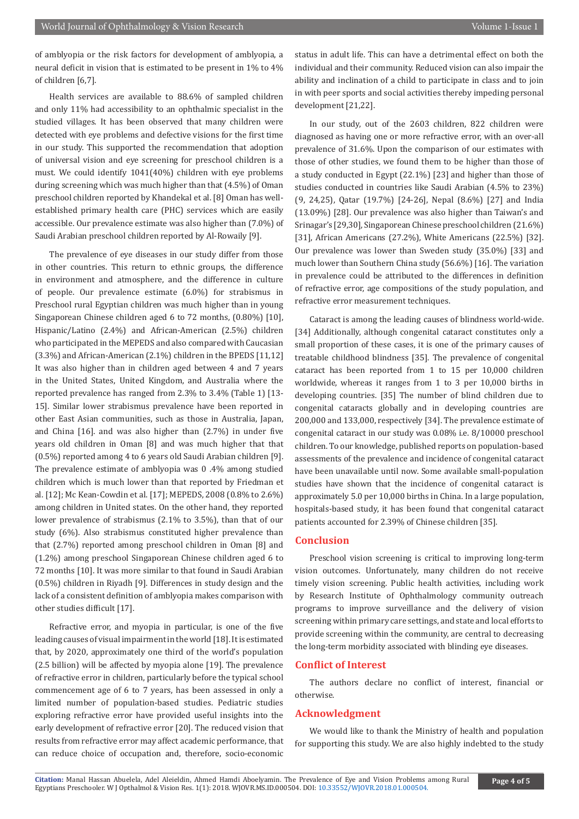of amblyopia or the risk factors for development of amblyopia, a neural deficit in vision that is estimated to be present in 1% to 4% of children [6,7].

Health services are available to 88.6% of sampled children and only 11% had accessibility to an ophthalmic specialist in the studied villages. It has been observed that many children were detected with eye problems and defective visions for the first time in our study. This supported the recommendation that adoption of universal vision and eye screening for preschool children is a must. We could identify 1041(40%) children with eye problems during screening which was much higher than that (4.5%) of Oman preschool children reported by Khandekal et al. [8] Oman has wellestablished primary health care (PHC) services which are easily accessible. Our prevalence estimate was also higher than (7.0%) of Saudi Arabian preschool children reported by Al-Rowaily [9].

The prevalence of eye diseases in our study differ from those in other countries. This return to ethnic groups, the difference in environment and atmosphere, and the difference in culture of people. Our prevalence estimate (6.0%) for strabismus in Preschool rural Egyptian children was much higher than in young Singaporean Chinese children aged 6 to 72 months, (0.80%) [10], Hispanic/Latino (2.4%) and African-American (2.5%) children who participated in the MEPEDS and also compared with Caucasian (3.3%) and African-American (2.1%) children in the BPEDS [11,12] It was also higher than in children aged between 4 and 7 years in the United States, United Kingdom, and Australia where the reported prevalence has ranged from 2.3% to 3.4% (Table 1) [13- 15]. Similar lower strabismus prevalence have been reported in other East Asian communities, such as those in Australia, Japan, and China [16]. and was also higher than (2.7%) in under five years old children in Oman [8] and was much higher that that (0.5%) reported among 4 to 6 years old Saudi Arabian children [9]. The prevalence estimate of amblyopia was 0 .4% among studied children which is much lower than that reported by Friedman et al. [12]; Mc Kean-Cowdin et al. [17]; MEPEDS, 2008 (0.8% to 2.6%) among children in United states. On the other hand, they reported lower prevalence of strabismus (2.1% to 3.5%), than that of our study (6%). Also strabismus constituted higher prevalence than that (2.7%) reported among preschool children in Oman [8] and (1.2%) among preschool Singaporean Chinese children aged 6 to 72 months [10]. It was more similar to that found in Saudi Arabian (0.5%) children in Riyadh [9]. Differences in study design and the lack of a consistent definition of amblyopia makes comparison with other studies difficult [17].

Refractive error, and myopia in particular, is one of the five leading causes of visual impairment in the world [18]. It is estimated that, by 2020, approximately one third of the world's population (2.5 billion) will be affected by myopia alone [19]. The prevalence of refractive error in children, particularly before the typical school commencement age of 6 to 7 years, has been assessed in only a limited number of population-based studies. Pediatric studies exploring refractive error have provided useful insights into the early development of refractive error [20]. The reduced vision that results from refractive error may affect academic performance, that can reduce choice of occupation and, therefore, socio-economic status in adult life. This can have a detrimental effect on both the individual and their community. Reduced vision can also impair the ability and inclination of a child to participate in class and to join in with peer sports and social activities thereby impeding personal development [21,22].

In our study, out of the 2603 children, 822 children were diagnosed as having one or more refractive error, with an over-all prevalence of 31.6%. Upon the comparison of our estimates with those of other studies, we found them to be higher than those of a study conducted in Egypt (22.1%) [23] and higher than those of studies conducted in countries like Saudi Arabian (4.5% to 23%) (9, 24,25), Qatar (19.7%) [24-26], Nepal (8.6%) [27] and India (13.09%) [28]. Our prevalence was also higher than Taiwan's and Srinagar's [29,30], Singaporean Chinese preschool children (21.6%) [31], African Americans (27.2%), White Americans (22.5%) [32]. Our prevalence was lower than Sweden study (35.0%) [33] and much lower than Southern China study (56.6%) [16]. The variation in prevalence could be attributed to the differences in definition of refractive error, age compositions of the study population, and refractive error measurement techniques.

Cataract is among the leading causes of blindness world-wide. [34] Additionally, although congenital cataract constitutes only a small proportion of these cases, it is one of the primary causes of treatable childhood blindness [35]. The prevalence of congenital cataract has been reported from 1 to 15 per 10,000 children worldwide, whereas it ranges from 1 to 3 per 10,000 births in developing countries. [35] The number of blind children due to congenital cataracts globally and in developing countries are 200,000 and 133,000, respectively [34]. The prevalence estimate of congenital cataract in our study was 0.08% i.e. 8/10000 preschool children. To our knowledge, published reports on population-based assessments of the prevalence and incidence of congenital cataract have been unavailable until now. Some available small-population studies have shown that the incidence of congenital cataract is approximately 5.0 per 10,000 births in China. In a large population, hospitals-based study, it has been found that congenital cataract patients accounted for 2.39% of Chinese children [35].

#### **Conclusion**

Preschool vision screening is critical to improving long-term vision outcomes. Unfortunately, many children do not receive timely vision screening. Public health activities, including work by Research Institute of Ophthalmology community outreach programs to improve surveillance and the delivery of vision screening within primary care settings, and state and local efforts to provide screening within the community, are central to decreasing the long-term morbidity associated with blinding eye diseases.

#### **Conflict of Interest**

The authors declare no conflict of interest, financial or otherwise.

#### **Acknowledgment**

We would like to thank the Ministry of health and population for supporting this study. We are also highly indebted to the study